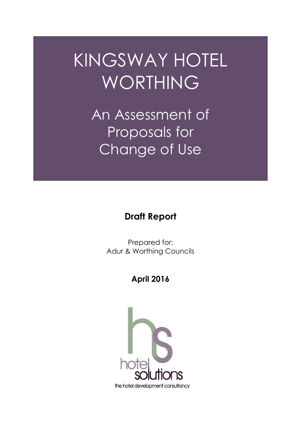# KINGSWAY HOTEL WORTHING

An Assessment of Proposals for Change of Use

# **Draft Report**

Prepared for: Adur & Worthing Councils

# **April 2016**

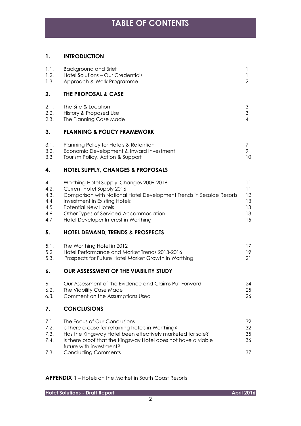#### **1. INTRODUCTION**

| 1.1.<br>1.2.<br>1.3.                             | <b>Background and Brief</b><br>Hotel Solutions - Our Credentials<br>Approach & Work Programme                                                                                                                                                                                                 | 1<br>1<br>$\overline{2}$               |
|--------------------------------------------------|-----------------------------------------------------------------------------------------------------------------------------------------------------------------------------------------------------------------------------------------------------------------------------------------------|----------------------------------------|
| 2.                                               | <b>THE PROPOSAL &amp; CASE</b>                                                                                                                                                                                                                                                                |                                        |
| 2.1.<br>2.2.<br>2.3.                             | The Site & Location<br>History & Proposed Use<br>The Planning Case Made                                                                                                                                                                                                                       | 3<br>$\mathfrak{S}$<br>$\overline{4}$  |
| 3.                                               | <b>PLANNING &amp; POLICY FRAMEWORK</b>                                                                                                                                                                                                                                                        |                                        |
| 3.1.<br>3.2.<br>3.3                              | Planning Policy for Hotels & Retention<br>Economic Development & Inward Investment<br>Tourism Policy, Action & Support                                                                                                                                                                        | 7<br>9<br>10                           |
| 4.                                               | <b>HOTEL SUPPLY, CHANGES &amp; PROPOSALS</b>                                                                                                                                                                                                                                                  |                                        |
| 4.1.<br>4.2.<br>4.3.<br>4.4<br>4.5<br>4.6<br>4.7 | Worthing Hotel Supply Changes 2009-2016<br>Current Hotel Supply 2016<br>Comparison with National Hotel Development Trends in Seaside Resorts<br>Investment in Existing Hotels<br><b>Potential New Hotels</b><br>Other Types of Serviced Accommodation<br>Hotel Developer Interest in Worthing | 11<br>11<br>12<br>13<br>13<br>13<br>15 |
| 5.                                               | <b>HOTEL DEMAND, TRENDS &amp; PROSPECTS</b>                                                                                                                                                                                                                                                   |                                        |
| 5.1.<br>5.2<br>5.3.                              | The Worthing Hotel in 2012<br>Hotel Performance and Market Trends 2013-2016<br>Prospects for Future Hotel Market Growth in Worthing                                                                                                                                                           | 17<br>19<br>21                         |
| 6.                                               | <b>OUR ASSESSMENT OF THE VIABILITY STUDY</b>                                                                                                                                                                                                                                                  |                                        |
| 6.1.<br>6.2.<br>6.3.                             | Our Assessment of the Evidence and Claims Put Forward<br>The Viability Case Made<br>Comment on the Assumptions Used                                                                                                                                                                           | 24<br>25<br>26                         |
| 7.                                               | <b>CONCLUSIONS</b>                                                                                                                                                                                                                                                                            |                                        |
| 7.1.<br>7.2.<br>7.3.<br>7.4.<br>7.3.             | The Focus of Our Conclusions<br>is there a case for retaining hotels in Worthing?<br>Has the Kingsway Hotel been effectively marketed for sale?<br>Is there proof that the Kingsway Hotel does not have a viable<br>future with investment?<br><b>Concluding Comments</b>                     | 32<br>32<br>35<br>36<br>37             |
|                                                  |                                                                                                                                                                                                                                                                                               |                                        |

#### **APPENDIX 1** – Hotels on the Market in South Coast Resorts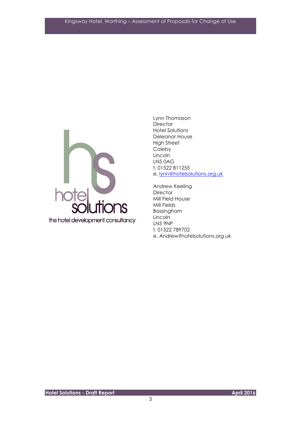

Lynn Thomason **Director** Hotel Solutions Deleanor House High Street Coleby Lincoln LN5 0AG t. 01522 811255 e. [lynn@hotelsolutions.org.uk](mailto:lynn@hotelsolutions.org.uk)

Andrew Keeling **Director** Mill Field House Mill Fields Bassingham Lincoln LN5 9NP t. 01522 789702 e. Andrew?hotelsolutions.org.uk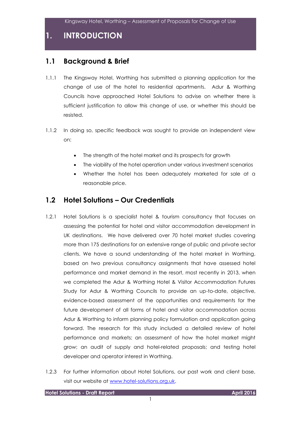**1. INTRODUCTION**

#### **1.1 Background & Brief**

- 1.1.1 The Kingsway Hotel, Worthing has submitted a planning application for the change of use of the hotel to residential apartments. Adur & Worthing Councils have approached Hotel Solutions to advise on whether there is sufficient justification to allow this change of use, or whether this should be resisted.
- 1.1.2 In doing so, specific feedback was sought to provide an independent view on:
	- The strength of the hotel market and its prospects for growth
	- The viability of the hotel operation under various investment scenarios
	- Whether the hotel has been adequately marketed for sale at a reasonable price.

#### **1.2 Hotel Solutions – Our Credentials**

- 1.2.1 Hotel Solutions is a specialist hotel & tourism consultancy that focuses on assessing the potential for hotel and visitor accommodation development in UK destinations. We have delivered over 70 hotel market studies covering more than 175 destinations for an extensive range of public and private sector clients. We have a sound understanding of the hotel market in Worthing, based on two previous consultancy assignments that have assessed hotel performance and market demand in the resort, most recently in 2013, when we completed the Adur & Worthing Hotel & Visitor Accommodation Futures Study for Adur & Worthing Councils to provide an up-to-date, objective, evidence-based assessment of the opportunities and requirements for the future development of all forms of hotel and visitor accommodation across Adur & Worthing to inform planning policy formulation and application going forward. The research for this study included a detailed review of hotel performance and markets; an assessment of how the hotel market might grow; an audit of supply and hotel-related proposals; and testing hotel developer and operator interest in Worthing.
- 1.2.3 For further information about Hotel Solutions, our past work and client base, visit our website at [www.hotel-solutions.org.uk.](http://www.hotel-solutions.org.uk/)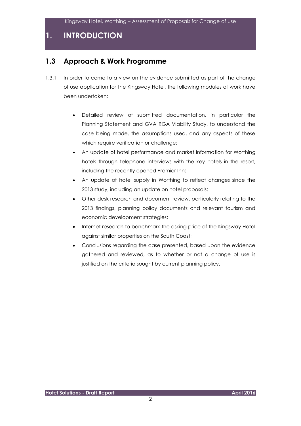# **1. INTRODUCTION**

### **1.3 Approach & Work Programme**

- 1.3.1 In order to come to a view on the evidence submitted as part of the change of use application for the Kingsway Hotel, the following modules of work have been undertaken:
	- Detailed review of submitted documentation, in particular the Planning Statement and GVA RGA Viability Study, to understand the case being made, the assumptions used, and any aspects of these which require verification or challenge;
	- An update of hotel performance and market information for Worthing hotels through telephone interviews with the key hotels in the resort, including the recently opened Premier Inn;
	- An update of hotel supply in Worthing to reflect changes since the 2013 study, including an update on hotel proposals;
	- Other desk research and document review, particularly relating to the 2013 findings, planning policy documents and relevant tourism and economic development strategies;
	- Internet research to benchmark the asking price of the Kingsway Hotel against similar properties on the South Coast;
	- Conclusions regarding the case presented, based upon the evidence gathered and reviewed, as to whether or not a change of use is justified on the criteria sought by current planning policy.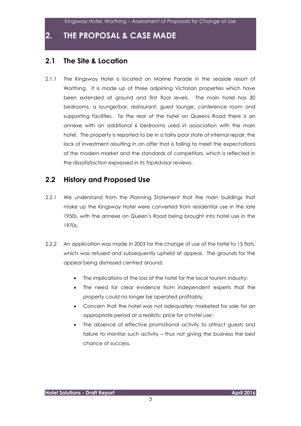# **2. THE PROPOSAL & CASE MADE**

#### **2.1 The Site & Location**

2.1.1 The Kingsway Hotel is located on Marine Parade in the seaside resort of Worthing. It is made up of three adjoining Victorian properties which have been extended at ground and first floor levels. The main hotel has 30 bedrooms, a lounge/bar, restaurant, guest lounge, conference room and supporting facilities. To the rear of the hotel on Queens Road there is an annexe with an additional 6 bedrooms used in association with the main hotel. The property is reported to be in a fairly poor state of internal repair, the lack of investment resulting in an offer that is failing to meet the expectations of the modern market and the standards of competitors, which is reflected in the dissatisfaction expressed in its TripAdvisor reviews.

### **2.2 History and Proposed Use**

- 2.2.1 We understand from the Planning Statement that the main buildings that make up the Kingsway Hotel were converted from residential use in the late 1950s, with the annexe on Queen's Road being brought into hotel use in the 1970s.
- 2.2.2 An application was made in 2003 for the change of use of the hotel to 15 flats, which was refused and subsequently upheld at appeal. The grounds for the appeal being dismissed centred around:
	- The implications of the loss of the hotel for the local tourism industry;
	- The need for clear evidence from independent experts that the property could no longer be operated profitably;
	- Concern that the hotel was not adequately marketed for sale for an appropriate period at a realistic price for a hotel use;
	- The absence of effective promotional activity to attract guests and failure to monitor such activity – thus not giving the business the best chance of success.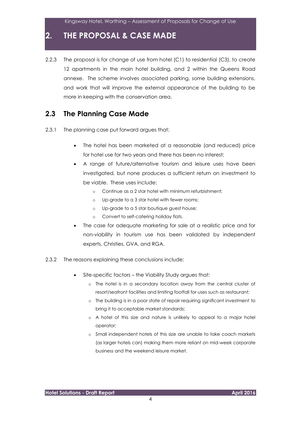# **2. THE PROPOSAL & CASE MADE**

2.2.3 The proposal is for change of use from hotel (C1) to residential (C3), to create 12 apartments in the main hotel building, and 2 within the Queens Road annexe. The scheme involves associated parking, some building extensions, and work that will improve the external appearance of the building to be more in keeping with the conservation area.

### **2.3 The Planning Case Made**

- 2.3.1 The planning case put forward argues that:
	- The hotel has been marketed at a reasonable (and reduced) price for hotel use for two years and there has been no interest;
	- A range of future/alternative tourism and leisure uses have been investigated, but none produces a sufficient return on investment to be viable. These uses include:
		- o Continue as a 2 star hotel with minimum refurbishment;
		- o Up-grade to a 3 star hotel with fewer rooms;
		- o Up-grade to a 5 star boutique guest house;
		- o Convert to self-catering holiday flats.
	- The case for adequate marketing for sale at a realistic price and for non-viability in tourism use has been validated by independent experts, Christies, GVA, and RGA.
- 2.3.2 The reasons explaining these conclusions include:
	- Site-specific factors the Viability Study argues that:
		- o The hotel is in a secondary location away from the central cluster of resort/seafront facilities and limiting footfall for uses such as restaurant;
		- o The building is in a poor state of repair requiring significant investment to bring it to acceptable market standards;
		- o A hotel of this size and nature is unlikely to appeal to a major hotel operator;
		- o Small independent hotels of this size are unable to take coach markets (as larger hotels can) making them more reliant on mid-week corporate business and the weekend leisure market.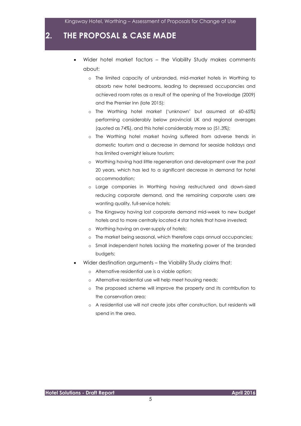# **2. THE PROPOSAL & CASE MADE**

- Wider hotel market factors the Viability Study makes comments about:
	- o The limited capacity of unbranded, mid-market hotels in Worthing to absorb new hotel bedrooms, leading to depressed occupancies and achieved room rates as a result of the opening of the Travelodge (2009) and the Premier Inn (late 2015);
	- o The Worthing hotel market ('unknown' but assumed at 60-65%) performing considerably below provincial UK and regional averages (quoted as 74%), and this hotel considerably more so (51.3%);
	- o The Worthing hotel market having suffered from adverse trends in domestic tourism and a decrease in demand for seaside holidays and has limited overnight leisure tourism;
	- o Worthing having had little regeneration and development over the past 20 years, which has led to a significant decrease in demand for hotel accommodation;
	- o Large companies in Worthing having restructured and down-sized reducing corporate demand, and the remaining corporate users are wanting quality, full-service hotels;
	- o The Kingsway having lost corporate demand mid-week to new budget hotels and to more centrally located 4 star hotels that have invested;
	- o Worthing having an over-supply of hotels;
	- o The market being seasonal, which therefore caps annual occupancies;
	- o Small independent hotels lacking the marketing power of the branded budgets;
- Wider destination arguments the Viability Study claims that:
	- o Alternative residential use is a viable option;
	- o Alternative residential use will help meet housing needs;
	- o The proposed scheme will improve the property and its contribution to the conservation area;
	- o A residential use will not create jobs after construction, but residents will spend in the area.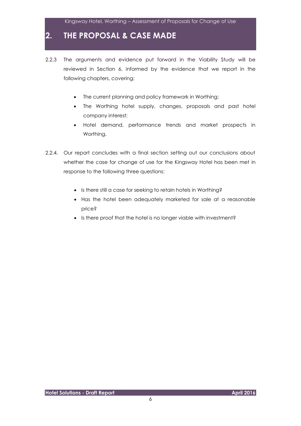# **2. THE PROPOSAL & CASE MADE**

- 2.2.3 The arguments and evidence put forward in the Viability Study will be reviewed in Section 6, informed by the evidence that we report in the following chapters, covering:
	- The current planning and policy framework in Worthing;
	- The Worthing hotel supply, changes, proposals and past hotel company interest;
	- Hotel demand, performance trends and market prospects in Worthing.
- 2.2.4. Our report concludes with a final section setting out our conclusions about whether the case for change of use for the Kingsway Hotel has been met in response to the following three questions:
	- Is there still a case for seeking to retain hotels in Worthing?
	- Has the hotel been adequately marketed for sale at a reasonable price?
	- Is there proof that the hotel is no longer viable with investment?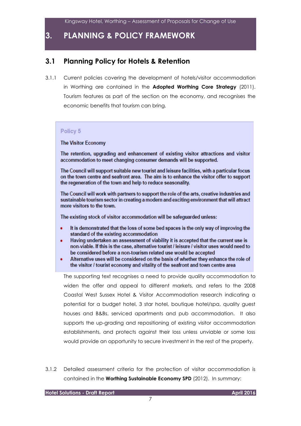# **3. PLANNING & POLICY FRAMEWORK**

### **3.1 Planning Policy for Hotels & Retention**

3.1.1 Current policies covering the development of hotels/visitor accommodation in Worthing are contained in the **Adopted Worthing Core Strategy** (2011). Tourism features as part of the section on the economy, and recognises the economic benefits that tourism can bring.

#### Policy 5

**The Visitor Economy** 

The retention, upgrading and enhancement of existing visitor attractions and visitor accommodation to meet changing consumer demands will be supported.

The Council will support suitable new tourist and leisure facilities, with a particular focus on the town centre and seafront area. The aim is to enhance the visitor offer to support the regeneration of the town and help to reduce seasonality.

The Council will work with partners to support the role of the arts, creative industries and sustainable tourism sector in creating a modern and exciting environment that will attract more visitors to the town.

The existing stock of visitor accommodation will be safeguarded unless:

- It is demonstrated that the loss of some bed spaces is the only way of improving the standard of the existing accommodation
- Having undertaken an assessment of viability it is accepted that the current use is non-viable. If this is the case, alternative tourist / leisure / visitor uses would need to be considered before a non-tourism related use would be accepted
- Alternative uses will be considered on the basis of whether they enhance the role of the visitor / tourist economy and vitality of the seafront and town centre area

The supporting text recognises a need to provide quality accommodation to widen the offer and appeal to different markets, and refers to the 2008 Coastal West Sussex Hotel & Visitor Accommodation research indicating a potential for a budget hotel, 3 star hotel, boutique hotel/spa, quality guest houses and B&Bs, serviced apartments and pub accommodation. It also supports the up-grading and repositioning of existing visitor accommodation establishments, and protects against their loss unless unviable or some loss would provide an opportunity to secure investment in the rest of the property.

3.1.2 Detailed assessment criteria for the protection of visitor accommodation is contained in the **Worthing Sustainable Economy SPD** (2012). In summary: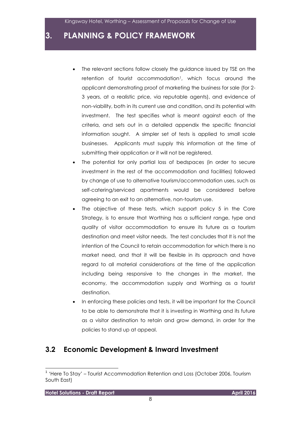### **3. PLANNING & POLICY FRAMEWORK**

- The relevant sections follow closely the guidance issued by TSE on the retention of tourist accommodation<sup>1</sup>, which focus around the applicant demonstrating proof of marketing the business for sale (for 2- 3 years, at a realistic price, via reputable agents), and evidence of non-viability, both in its current use and condition, and its potential with investment. The test specifies what is meant against each of the criteria, and sets out in a detailed appendix the specific financial information sought. A simpler set of tests is applied to small scale businesses. Applicants must supply this information at the time of submitting their application or it will not be registered.
- The potential for only partial loss of bedspaces (in order to secure investment in the rest of the accommodation and facilities) followed by change of use to alternative tourism/accommodation uses, such as self-catering/serviced apartments would be considered before agreeing to an exit to an alternative, non-tourism use.
- The objective of these tests, which support policy 5 in the Core Strategy, is to ensure that Worthing has a sufficient range, type and quality of visitor accommodation to ensure its future as a tourism destination and meet visitor needs. The test concludes that It is not the intention of the Council to retain accommodation for which there is no market need, and that it will be flexible in its approach and have regard to all material considerations at the time of the application including being responsive to the changes in the market, the economy, the accommodation supply and Worthing as a tourist destination.
- In enforcing these policies and tests, it will be important for the Council to be able to demonstrate that it is investing in Worthing and its future as a visitor destination to retain and grow demand, in order for the policies to stand up at appeal.

#### **3.2 Economic Development & Inward Investment**

l

<sup>&</sup>lt;sup>1</sup> 'Here To Stay' – Tourist Accommodation Retention and Loss (October 2006, Tourism South East)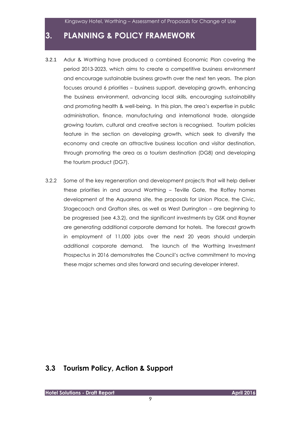# **3. PLANNING & POLICY FRAMEWORK**

- 3.2.1 Adur & Worthing have produced a combined Economic Plan covering the period 2013-2023, which aims to create a competitive business environment and encourage sustainable business growth over the next ten years. The plan focuses around 6 priorities – business support, developing growth, enhancing the business environment, advancing local skills, encouraging sustainability and promoting health & well-being. In this plan, the area's expertise in public administration, finance, manufacturing and international trade, alongside growing tourism, cultural and creative sectors is recognised. Tourism policies feature in the section on developing growth, which seek to diversify the economy and create an attractive business location and visitor destination, through promoting the area as a tourism destination (DG8) and developing the tourism product (DG7).
- 3.2.2 Some of the key regeneration and development projects that will help deliver these priorities in and around Worthing – Teville Gate, the Roffey homes development of the Aquarena site, the proposals for Union Place, the Civic, Stagecoach and Grafton sites, as well as West Durrington – are beginning to be progressed (see 4.3.2), and the significant investments by GSK and Rayner are generating additional corporate demand for hotels. The forecast growth in employment of 11,000 jobs over the next 20 years should underpin additional corporate demand. The launch of the Worthing Investment Prospectus in 2016 demonstrates the Council's active commitment to moving these major schemes and sites forward and securing developer interest.

#### **3.3 Tourism Policy, Action & Support**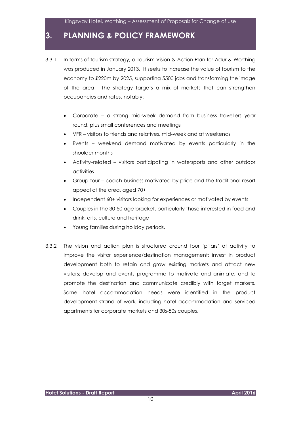# **3. PLANNING & POLICY FRAMEWORK**

- 3.3.1 In terms of tourism strategy, a Tourism Vision & Action Plan for Adur & Worthing was produced in January 2013. It seeks to increase the value of tourism to the economy to £220m by 2025, supporting 5500 jobs and transforming the image of the area. The strategy targets a mix of markets that can strengthen occupancies and rates, notably:
	- Corporate a strong mid-week demand from business travellers year round, plus small conferences and meetings
	- VFR visitors to friends and relatives, mid-week and at weekends
	- Events weekend demand motivated by events particularly in the shoulder months
	- Activity–related visitors participating in watersports and other outdoor activities
	- Group tour coach business motivated by price and the traditional resort appeal of the area, aged 70+
	- Independent 60+ visitors looking for experiences or motivated by events
	- Couples in the 30-50 age bracket, particularly those interested in food and drink, arts, culture and heritage
	- Young families during holiday periods.
- 3.3.2 The vision and action plan is structured around four 'pillars' of activity to improve the visitor experience/destination management; invest in product development both to retain and grow existing markets and attract new visitors; develop and events programme to motivate and animate; and to promote the destination and communicate credibly with target markets. Some hotel accommodation needs were identified in the product development strand of work, including hotel accommodation and serviced apartments for corporate markets and 30s-50s couples.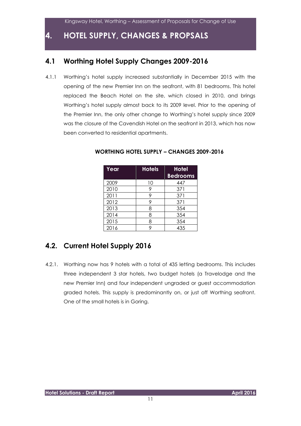# **4. HOTEL SUPPLY, CHANGES & PROPSALS**

### **4.1 Worthing Hotel Supply Changes 2009-2016**

4.1.1 Worthing's hotel supply increased substantially in December 2015 with the opening of the new Premier Inn on the seafront, with 81 bedrooms. This hotel replaced the Beach Hotel on the site, which closed in 2010, and brings Worthing's hotel supply almost back to its 2009 level. Prior to the opening of the Premier Inn, the only other change to Worthing's hotel supply since 2009 was the closure of the Cavendish Hotel on the seafront in 2013, which has now been converted to residential apartments.

| Year | <b>Hotels</b> | <b>Hotel</b><br><b>Bedrooms</b> |
|------|---------------|---------------------------------|
| 2009 | 10            | 447                             |
| 2010 |               | 371                             |
| 2011 |               | 371                             |
| 2012 | 9             | 371                             |
| 2013 | 8             | 354                             |
| 2014 | 8             | 354                             |
| 2015 | 8             | 354                             |
| 2016 |               | 435                             |

#### **WORTHING HOTEL SUPPLY – CHANGES 2009-2016**

# **4.2. Current Hotel Supply 2016**

4.2.1. Worthing now has 9 hotels with a total of 435 letting bedrooms. This includes three independent 3 star hotels, two budget hotels (a Travelodge and the new Premier Inn) and four independent ungraded or guest accommodation graded hotels. This supply is predominantly on, or just off Worthing seafront. One of the small hotels is in Goring.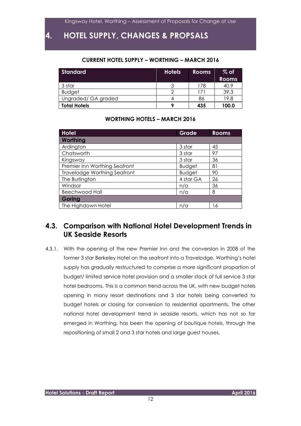# **4. HOTEL SUPPLY, CHANGES & PROPSALS**

#### **CURRENT HOTEL SUPPLY – WORTHING – MARCH 2016**

| Standard            | <b>Hotels</b> | <b>Rooms</b> | $%$ of<br><b>Rooms</b> |
|---------------------|---------------|--------------|------------------------|
| 3 star              |               | 178          | 40.9                   |
| <b>Budget</b>       |               | 71           | 39.3                   |
| Ungraded/ GA graded |               | 86           | 19.8                   |
| <b>Total Hotels</b> | ۰             | 435          | 100.0                  |

#### **WORTHING HOTELS – MARCH 2016**

| <b>Hotel</b>                        | Grade         | <b>Rooms</b> |
|-------------------------------------|---------------|--------------|
| Worthing                            |               |              |
| Ardington                           | 3 star        | 45           |
| Chatsworth                          | 3 star        | 97           |
| Kingsway                            | 3 star        | 36           |
| Premier Inn Worthing Seafront       | <b>Budget</b> | 81           |
| <b>Travelodge Worthing Seafront</b> | <b>Budget</b> | 90           |
| The Burlington                      | 4 star GA     | 26           |
| Windsor                             | n/a           | 36           |
| <b>Beechwood Hall</b>               | n/a           | 8            |
| Goring                              |               |              |
| The Highdown Hotel                  | n/a           | 16           |

### **4.3. Comparison with National Hotel Development Trends in UK Seaside Resorts**

4.3.1. With the opening of the new Premier Inn and the conversion in 2008 of the former 3 star Berkeley Hotel on the seafront into a Travelodge, Worthing's hotel supply has gradually restructured to comprise a more significant proportion of budget/ limited service hotel provision and a smaller stock of full service 3 star hotel bedrooms. This is a common trend across the UK, with new budget hotels opening in many resort destinations and 3 star hotels being converted to budget hotels or closing for conversion to residential apartments. The other national hotel development trend in seaside resorts, which has not so far emerged in Worthing, has been the opening of boutique hotels, through the repositioning of small 2 and 3 star hotels and large guest houses.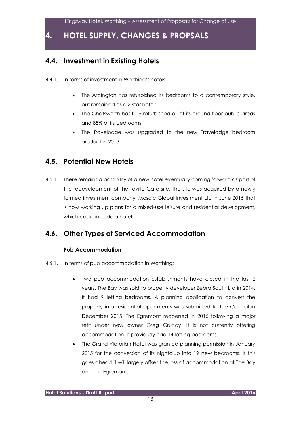# **4. HOTEL SUPPLY, CHANGES & PROPSALS**

### **4.4. Investment in Existing Hotels**

- 4.4.1. In terms of investment in Worthing's hotels:
	- The Ardington has refurbished its bedrooms to a contemporary style, but remained as a 3 star hotel;
	- The Chatsworth has fully refurbished all of its ground floor public areas and 85% of its bedrooms;
	- The Travelodge was upgraded to the new Travelodge bedroom product in 2013.

### **4.5. Potential New Hotels**

4.5.1. There remains a possibility of a new hotel eventually coming forward as part of the redevelopment of the Teville Gate site. The site was acquired by a newly formed investment company, Mosaic Global Investment Ltd in June 2015 that is now working up plans for a mixed-use leisure and residential development, which could include a hotel.

### **4.6. Other Types of Serviced Accommodation**

#### **Pub Accommodation**

- 4.6.1. In terms of pub accommodation in Worthing:
	- Two pub accommodation establishments have closed in the last 2 years. The Bay was sold to property developer Zebra South Ltd in 2014. It had 9 letting bedrooms. A planning application to convert the property into residential apartments was submitted to the Council in December 2015. The Egremont reopened in 2015 following a major refit under new owner Greg Grundy. It is not currently offering accommodation. It previously had 14 letting bedrooms.
	- The Grand Victorian Hotel was granted planning permission in January 2015 for the conversion of its nightclub into 19 new bedrooms. If this goes ahead it will largely offset the loss of accommodation at The Bay and The Egremont.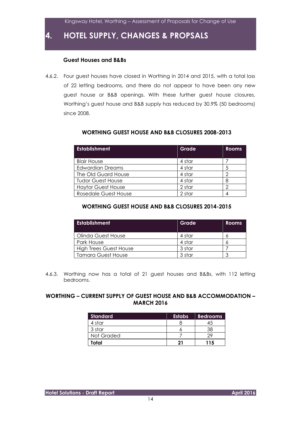**4. HOTEL SUPPLY, CHANGES & PROPSALS**

#### **Guest Houses and B&Bs**

4.6.2. Four guest houses have closed in Worthing in 2014 and 2015, with a total loss of 22 letting bedrooms, and there do not appear to have been any new guest house or B&B openings. With these further guest house closures, Worthing's guest house and B&B supply has reduced by 30.9% (50 bedrooms) since 2008.

| <b>Establishment</b>      | Grade  | Rooms |
|---------------------------|--------|-------|
| <b>Blair House</b>        | 4 star |       |
| Edwardian Dreams          | 4 star |       |
| The Old Guard House       | 4 star |       |
| <b>Tudor Guest House</b>  | 4 star | 8     |
| <b>Haytor Guest House</b> | 2 star |       |
| Rosedale Guest House      | 2 star |       |

#### **WORTHING GUEST HOUSE AND B&B CLOSURES 2008-2013**

#### **WORTHING GUEST HOUSE AND B&B CLOSURES 2014-2015**

| <b>Establishment</b>          | Grade  | <b>Rooms</b> |
|-------------------------------|--------|--------------|
| Olinda Guest House            | 4 star |              |
| Park House                    | 4 star |              |
| <b>High Trees Guest House</b> | 3 star |              |
| Tamara Guest House            | 3 star | ◠            |

4.6.3. Worthing now has a total of 21 guest houses and B&Bs, with 112 letting bedrooms.

#### **WORTHING – CURRENT SUPPLY OF GUEST HOUSE AND B&B ACCOMMODATION – MARCH 2016**

| <b>Standard</b> | <b>Estabs</b> | <b>Bedrooms</b> |
|-----------------|---------------|-----------------|
| 4 star          |               |                 |
| 3 star          |               |                 |
| Not Graded      |               |                 |
| Total           |               | 115             |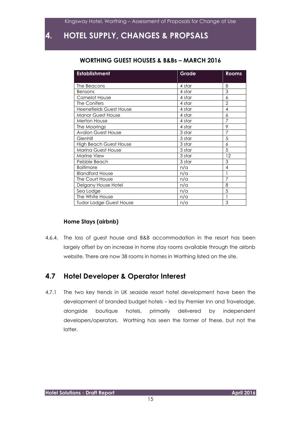# **4. HOTEL SUPPLY, CHANGES & PROPSALS**

#### **WORTHING GUEST HOUSES & B&Bs – MARCH 2016**

| <b>Establishment</b>           | Grade  | <b>Rooms</b>   |
|--------------------------------|--------|----------------|
| The Beacons                    | 4 star | 8              |
| <b>Bensons</b>                 | 4 star | 3              |
| <b>Camelot House</b>           | 4 star | 6              |
| The Conifers                   | 4 star | $\overline{2}$ |
| <b>Heenefields Guest House</b> | 4 star | $\overline{4}$ |
| <b>Manor Guest House</b>       | 4 star | 6              |
| <b>Merton House</b>            | 4 star | $\overline{7}$ |
| The Moorings                   | 4 star | 9              |
| <b>Avalon Guest House</b>      | 3 star | $\overline{7}$ |
| Glenhill                       | 3 star | $\overline{5}$ |
| <b>High Beach Guest House</b>  | 3 star | 6              |
| Marina Guest House             | 3 star | 5              |
| Marine View                    | 3 star | 12             |
| Pebble Beach                   | 3 star | 3              |
| <b>Baltimore</b>               | n/a    | $\overline{4}$ |
| <b>Blandford House</b>         | n/a    | 1              |
| The Court House                | n/a    | $\overline{7}$ |
| Delgany House Hotel            | n/a    | 8              |
| Sea Lodge                      | n/a    | 5              |
| The White House                | n/a    |                |
| <b>Tudor Lodge Guest House</b> | n/a    | 3              |

#### **Home Stays (airbnb)**

4.6.4. The loss of guest house and B&B accommodation in the resort has been largely offset by an increase in home stay rooms available through the airbnb website. There are now 38 rooms in homes in Worthing listed on the site.

#### **4.7 Hotel Developer & Operator Interest**

4.7.1 The two key trends in UK seaside resort hotel development have been the development of branded budget hotels – led by Premier Inn and Travelodge, alongside boutique hotels, primarily delivered by independent developers/operators. Worthing has seen the former of these, but not the latter.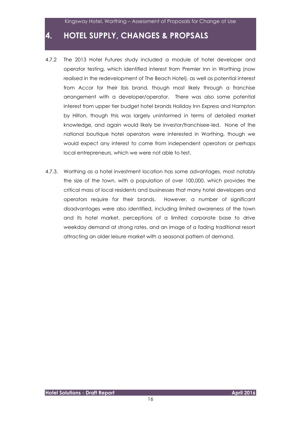# **4. HOTEL SUPPLY, CHANGES & PROPSALS**

- 4.7.2 The 2013 Hotel Futures study included a module of hotel developer and operator testing, which identified interest from Premier Inn in Worthing (now realised in the redevelopment of The Beach Hotel), as well as potential interest from Accor for their Ibis brand, though most likely through a franchise arrangement with a developer/operator. There was also some potential interest from upper tier budget hotel brands Holiday Inn Express and Hampton by Hilton, though this was largely uninformed in terms of detailed market knowledge, and again would likely be investor/franchisee-led. None of the national boutique hotel operators were interested in Worthing, though we would expect any interest to come from independent operators or perhaps local entrepreneurs, which we were not able to test.
- 4.7.3. Worthing as a hotel investment location has some advantages, most notably the size of the town, with a population of over 100,000, which provides the critical mass of local residents and businesses that many hotel developers and operators require for their brands. However, a number of significant disadvantages were also identified, including limited awareness of the town and its hotel market, perceptions of a limited corporate base to drive weekday demand at strong rates, and an image of a fading traditional resort attracting an older leisure market with a seasonal pattern of demand.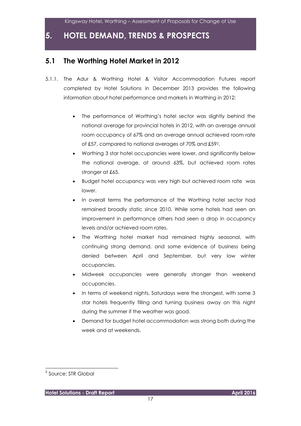#### **5.1 The Worthing Hotel Market in 2012**

- 5.1.1. The Adur & Worthing Hotel & Visitor Accommodation Futures report completed by Hotel Solutions in December 2013 provides the following information about hotel performance and markets in Worthing in 2012:
	- The performance of Worthing's hotel sector was slightly behind the national average for provincial hotels in 2012, with an average annual room occupancy of 67% and an average annual achieved room rate of £57, compared to national averages of 70% and £592.
	- Worthing 3 star hotel occupancies were lower, and significantly below the national average, at around 63%, but achieved room rates stronger at £65.
	- Budget hotel occupancy was very high but achieved room rate was lower.
	- In overall terms the performance of the Worthing hotel sector had remained broadly static since 2010. While some hotels had seen an improvement in performance others had seen a drop in occupancy levels and/or achieved room rates.
	- The Worthing hotel market had remained highly seasonal, with continuing strong demand, and some evidence of business being denied between April and September, but very low winter occupancies.
	- Midweek occupancies were generally stronger than weekend occupancies.
	- In terms of weekend nights, Saturdays were the strongest, with some 3 star hotels frequently filling and turning business away on this night during the summer if the weather was good.
	- Demand for budget hotel accommodation was strong both during the week and at weekends.

l

<sup>&</sup>lt;sup>2</sup> Source: STR Global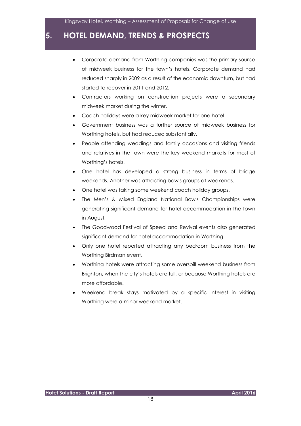- Corporate demand from Worthing companies was the primary source of midweek business for the town's hotels. Corporate demand had reduced sharply in 2009 as a result of the economic downturn, but had started to recover in 2011 and 2012.
- Contractors working on construction projects were a secondary midweek market during the winter.
- Coach holidays were a key midweek market for one hotel.
- Government business was a further source of midweek business for Worthing hotels, but had reduced substantially.
- People attending weddings and family occasions and visiting friends and relatives in the town were the key weekend markets for most of Worthing's hotels.
- One hotel has developed a strong business in terms of bridge weekends. Another was attracting bowls groups at weekends.
- One hotel was taking some weekend coach holiday groups.
- The Men's & Mixed England National Bowls Championships were generating significant demand for hotel accommodation in the town in August.
- The Goodwood Festival of Speed and Revival events also generated significant demand for hotel accommodation in Worthing.
- Only one hotel reported attracting any bedroom business from the Worthing Birdman event.
- Worthing hotels were attracting some overspill weekend business from Brighton, when the city's hotels are full, or because Worthing hotels are more affordable.
- Weekend break stays motivated by a specific interest in visiting Worthing were a minor weekend market.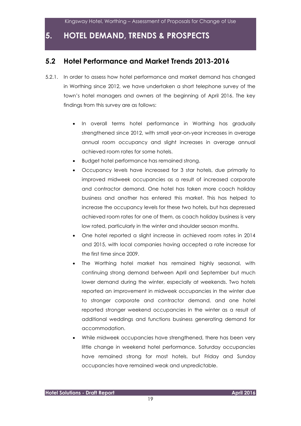#### **5.2 Hotel Performance and Market Trends 2013-2016**

- 5.2.1. In order to assess how hotel performance and market demand has changed in Worthing since 2012, we have undertaken a short telephone survey of the town's hotel managers and owners at the beginning of April 2016. The key findings from this survey are as follows:
	- In overall terms hotel performance in Worthing has gradually strengthened since 2012, with small year-on-year increases in average annual room occupancy and slight increases in average annual achieved room rates for some hotels.
	- Budget hotel performance has remained strong.
	- Occupancy levels have increased for 3 star hotels, due primarily to improved midweek occupancies as a result of increased corporate and contractor demand. One hotel has taken more coach holiday business and another has entered this market. This has helped to increase the occupancy levels for these two hotels, but has depressed achieved room rates for one of them, as coach holiday business is very low rated, particularly in the winter and shoulder season months.
	- One hotel reported a slight increase in achieved room rates in 2014 and 2015, with local companies having accepted a rate increase for the first time since 2009.
	- The Worthing hotel market has remained highly seasonal, with continuing strong demand between April and September but much lower demand during the winter, especially at weekends. Two hotels reported an improvement in midweek occupancies in the winter due to stronger corporate and contractor demand, and one hotel reported stronger weekend occupancies in the winter as a result of additional weddings and functions business generating demand for accommodation.
	- While midweek occupancies have strengthened, there has been very little change in weekend hotel performance. Saturday occupancies have remained strong for most hotels, but Friday and Sunday occupancies have remained weak and unpredictable.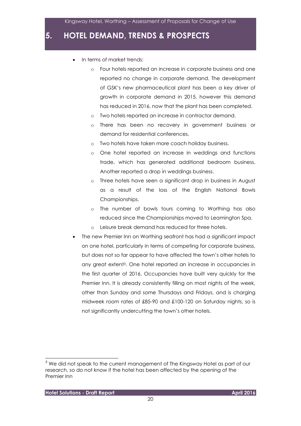- In terms of market trends:
	- o Four hotels reported an increase in corporate business and one reported no change in corporate demand. The development of GSK's new pharmaceutical plant has been a key driver of growth in corporate demand in 2015, however this demand has reduced in 2016, now that the plant has been completed.
	- o Two hotels reported an increase in contractor demand.
	- o There has been no recovery in government business or demand for residential conferences.
	- o Two hotels have taken more coach holiday business.
	- o One hotel reported an increase in weddings and functions trade, which has generated additional bedroom business. Another reported a drop in weddings business.
	- o Three hotels have seen a significant drop in business in August as a result of the loss of the English National Bowls Championships.
	- o The number of bowls tours coming to Worthing has also reduced since the Championships moved to Leamington Spa.
	- o Leisure break demand has reduced for three hotels.
- The new Premier Inn on Worthing seafront has had a significant impact on one hotel, particularly in terms of competing for corporate business, but does not so far appear to have affected the town's other hotels to any great extent3. One hotel reported an increase in occupancies in the first quarter of 2016. Occupancies have built very quickly for the Premier Inn. It is already consistently filling on most nights of the week, other than Sunday and some Thursdays and Fridays, and is charging midweek room rates of £85-90 and £100-120 on Saturday nights, so is not significantly undercutting the town's other hotels.

l

<sup>&</sup>lt;sup>3</sup> We did not speak to the current management of The Kingsway Hotel as part of our research, so do not know if the hotel has been affected by the opening of the Premier Inn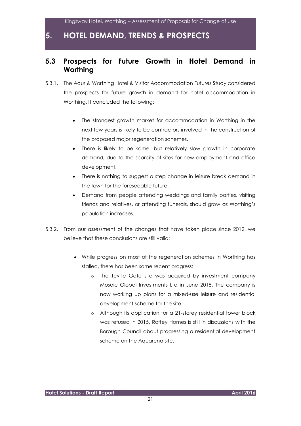### **5.3 Prospects for Future Growth in Hotel Demand in Worthing**

- 5.3.1. The Adur & Worthing Hotel & Visitor Accommodation Futures Study considered the prospects for future growth in demand for hotel accommodation in Worthing. It concluded the following:
	- The strongest growth market for accommodation in Worthing in the next few years is likely to be contractors involved in the construction of the proposed major regeneration schemes.
	- There is likely to be some, but relatively slow growth in corporate demand, due to the scarcity of sites for new employment and office development.
	- There is nothing to suggest a step change in leisure break demand in the town for the foreseeable future.
	- Demand from people attending weddings and family parties, visiting friends and relatives, or attending funerals, should grow as Worthing's population increases.
- 5.3.2. From our assessment of the changes that have taken place since 2012, we believe that these conclusions are still valid:
	- While progress on most of the regeneration schemes in Worthing has stalled, there has been some recent progress:
		- o The Teville Gate site was acquired by investment company Mosaic Global Investments Ltd in June 2015. The company is now working up plans for a mixed-use leisure and residential development scheme for the site.
		- o Although its application for a 21-storey residential tower block was refused in 2015, Roffey Homes is still in discussions with the Borough Council about progressing a residential development scheme on the Aquarena site.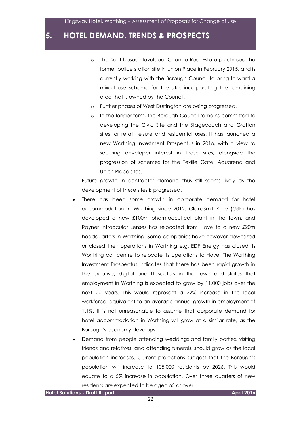- o The Kent-based developer Change Real Estate purchased the former police station site in Union Place in February 2015, and is currently working with the Borough Council to bring forward a mixed use scheme for the site, incorporating the remaining area that is owned by the Council.
- o Further phases of West Durrington are being progressed.
- o In the longer term, the Borough Council remains committed to developing the Civic Site and the Stagecoach and Grafton sites for retail, leisure and residential uses. It has launched a new Worthing Investment Prospectus in 2016, with a view to securing developer interest in these sites, alongside the progression of schemes for the Teville Gate, Aquarena and Union Place sites.

Future growth in contractor demand thus still seems likely as the development of these sites is progressed.

- There has been some growth in corporate demand for hotel accommodation in Worthing since 2012. GlaxoSmithKline (GSK) has developed a new £100m pharmaceutical plant in the town, and Rayner Intraocular Lenses has relocated from Hove to a new £20m headquarters in Worthing. Some companies have however downsized or closed their operations in Worthing e.g. EDF Energy has closed its Worthing call centre to relocate its operations to Hove. The Worthing Investment Prospectus indicates that there has been rapid growth in the creative, digital and IT sectors in the town and states that employment in Worthing is expected to grow by 11,000 jobs over the next 20 years. This would represent a 22% increase in the local workforce, equivalent to an average annual growth in employment of 1.1%. It is not unreasonable to assume that corporate demand for hotel accommodation in Worthing will grow at a similar rate, as the Borough's economy develops.
- Demand from people attending weddings and family parties, visiting friends and relatives, and attending funerals, should grow as the local population increases. Current projections suggest that the Borough's population will increase to 105,000 residents by 2026. This would equate to a 5% increase in population. Over three quarters of new residents are expected to be aged 65 or over.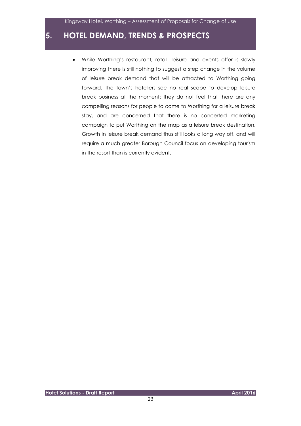While Worthing's restaurant, retail, leisure and events offer is slowly improving there is still nothing to suggest a step change in the volume of leisure break demand that will be attracted to Worthing going forward. The town's hoteliers see no real scope to develop leisure break business at the moment: they do not feel that there are any compelling reasons for people to come to Worthing for a leisure break stay, and are concerned that there is no concerted marketing campaign to put Worthing on the map as a leisure break destination. Growth in leisure break demand thus still looks a long way off, and will require a much greater Borough Council focus on developing tourism in the resort than is currently evident.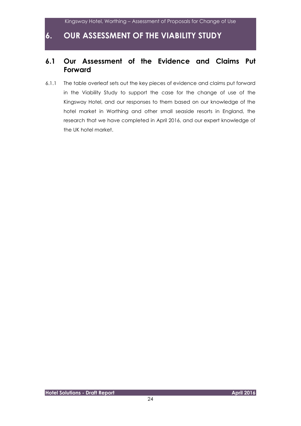### **6.1 Our Assessment of the Evidence and Claims Put Forward**

6.1.1 The table overleaf sets out the key pieces of evidence and claims put forward in the Viability Study to support the case for the change of use of the Kingsway Hotel, and our responses to them based on our knowledge of the hotel market in Worthing and other small seaside resorts in England, the research that we have completed in April 2016, and our expert knowledge of the UK hotel market.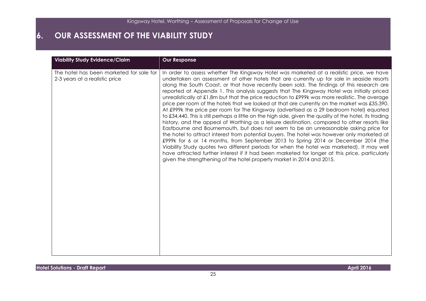| <b>Viability Study Evidence/Claim</b>                                      | <b>Our Response</b>                                                                                                                                                                                                                                                                                                                                                                                                                                                                                                                                                                                                                                                                                                                                                                                                                                                                                                                                                                                                                                                                                                                                                                                                                                                                                                                                                                                                                                |
|----------------------------------------------------------------------------|----------------------------------------------------------------------------------------------------------------------------------------------------------------------------------------------------------------------------------------------------------------------------------------------------------------------------------------------------------------------------------------------------------------------------------------------------------------------------------------------------------------------------------------------------------------------------------------------------------------------------------------------------------------------------------------------------------------------------------------------------------------------------------------------------------------------------------------------------------------------------------------------------------------------------------------------------------------------------------------------------------------------------------------------------------------------------------------------------------------------------------------------------------------------------------------------------------------------------------------------------------------------------------------------------------------------------------------------------------------------------------------------------------------------------------------------------|
| The hotel has been marketed for sale for<br>2-3 years at a realistic price | In order to assess whether The Kingsway Hotel was marketed at a realistic price, we have<br>undertaken an assessment of other hotels that are currently up for sale in seaside resorts<br>along the South Coast, or that have recently been sold. The findings of this research are<br>reported at Appendix 1. This analysis suggests that The Kingsway Hotel was initially priced<br>unrealistically at £1.8m but that the price reduction to £999k was more realistic. The average<br>price per room of the hotels that we looked at that are currently on the market was £35,390.<br>At £999k the price per room for The Kingsway (advertised as a 29 bedroom hotel) equated<br>to £34,440. This is still perhaps a little on the high side, given the quality of the hotel, its trading<br>history, and the appeal of Worthing as a leisure destination, compared to other resorts like<br>Eastbourne and Bournemouth, but does not seem to be an unreasonable asking price for<br>the hotel to attract interest from potential buyers. The hotel was however only marketed at<br>£999k for 6 or 14 months, from September 2013 to Spring 2014 or December 2014 (the<br>Viability Study quotes two different periods for when the hotel was marketed). It may well<br>have attracted further interest if it had been marketed for longer at this price, particularly<br>given the strengthening of the hotel property market in 2014 and 2015. |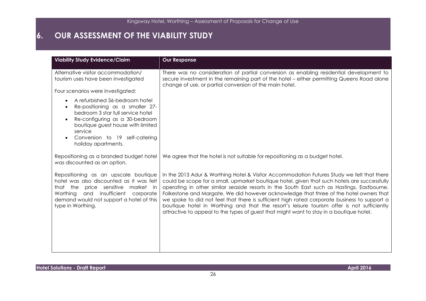| <b>Viability Study Evidence/Claim</b>                                                                                                                                                                                                                                                                 | <b>Our Response</b>                                                                                                                                                                                                                                                                                                                                                                                                                                                                                                                                                                                                                                                         |
|-------------------------------------------------------------------------------------------------------------------------------------------------------------------------------------------------------------------------------------------------------------------------------------------------------|-----------------------------------------------------------------------------------------------------------------------------------------------------------------------------------------------------------------------------------------------------------------------------------------------------------------------------------------------------------------------------------------------------------------------------------------------------------------------------------------------------------------------------------------------------------------------------------------------------------------------------------------------------------------------------|
| Alternative visitor accommodation/<br>tourism uses have been investigated                                                                                                                                                                                                                             | There was no consideration of partial conversion as enabling residential development to<br>secure investment in the remaining part of the hotel - either permitting Queens Road alone<br>change of use, or partial conversion of the main hotel.                                                                                                                                                                                                                                                                                                                                                                                                                            |
| Four scenarios were investigated:                                                                                                                                                                                                                                                                     |                                                                                                                                                                                                                                                                                                                                                                                                                                                                                                                                                                                                                                                                             |
| A refurbished 36-bedroom hotel<br>$\bullet$<br>Re-positioning as a smaller 27-<br>$\bullet$<br>bedroom 3 star full service hotel<br>Re-configuring as a 30-bedroom<br>$\bullet$<br>boutique guest house with limited<br>service<br>Conversion to 19 self-catering<br>$\bullet$<br>holiday apartments. |                                                                                                                                                                                                                                                                                                                                                                                                                                                                                                                                                                                                                                                                             |
| Repositioning as a branded budget hotel<br>was discounted as an option.                                                                                                                                                                                                                               | We agree that the hotel is not suitable for repositioning as a budget hotel.                                                                                                                                                                                                                                                                                                                                                                                                                                                                                                                                                                                                |
| Repositioning as an upscale boutique<br>hotel was also discounted as it was felt<br>that the<br>price sensitive<br>market in<br>insufficient<br>Worthing<br>and<br>corporate<br>demand would not support a hotel of this<br>type in Worthing.                                                         | In the 2013 Adur & Worthing Hotel & Visitor Accommodation Futures Study we felt that there<br>could be scope for a small, upmarket boutique hotel, given that such hotels are successfully<br>operating in other similar seaside resorts in the South East such as Hastings, Eastbourne,<br>Folkestone and Margate. We did however acknowledge that three of the hotel owners that<br>we spoke to did not feel that there is sufficient high rated corporate business to support a<br>boutique hotel in Worthing and that the resort's leisure tourism offer is not sufficiently<br>attractive to appeal to the types of guest that might want to stay in a boutique hotel. |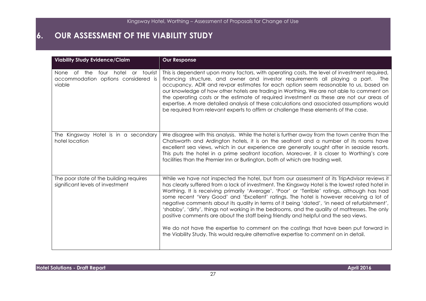| <b>Viability Study Evidence/Claim</b>                                                       | <b>Our Response</b>                                                                                                                                                                                                                                                                                                                                                                                                                                                                                                                                                                                                                                                                                                                                                                                                                                                       |
|---------------------------------------------------------------------------------------------|---------------------------------------------------------------------------------------------------------------------------------------------------------------------------------------------------------------------------------------------------------------------------------------------------------------------------------------------------------------------------------------------------------------------------------------------------------------------------------------------------------------------------------------------------------------------------------------------------------------------------------------------------------------------------------------------------------------------------------------------------------------------------------------------------------------------------------------------------------------------------|
| four hotel<br>or tourist<br>of the<br>None<br>accommodation options considered is<br>viable | This is dependent upon many factors, with operating costs, the level of investment required,<br>financing structure, and owner and investor requirements all playing a part. The<br>occupancy, ADR and revpar estimates for each option seem reasonable to us, based on<br>our knowledge of how other hotels are trading in Worthing. We are not able to comment on<br>the operating costs or the estimate of required investment as these are not our areas of<br>expertise. A more detailed analysis of these calculations and associated assumptions would<br>be required from relevant experts to affirm or challenge these elements of the case.                                                                                                                                                                                                                     |
| The Kingsway Hotel is in a secondary<br>hotel location                                      | We disagree with this analysis. While the hotel is further away from the town centre than the<br>Chatsworth and Ardington hotels, it is on the seafront and a number of its rooms have<br>excellent sea views, which in our experience are generally sought after in seaside resorts.<br>This puts the hotel in a prime seafront location. Moreover, it is closer to Worthing's core<br>facilities than the Premier Inn or Burlington, both of which are trading well.                                                                                                                                                                                                                                                                                                                                                                                                    |
| The poor state of the building requires<br>significant levels of investment                 | While we have not inspected the hotel, but from our assessment of its TripAdvisor reviews it<br>has clearly suffered from a lack of investment. The Kingsway Hotel is the lowest rated hotel in<br>Worthing. It is receiving primarily 'Average', 'Poor' or 'Terrible' ratings, although has had<br>some recent 'Very Good' and 'Excellent' ratings. The hotel is however receiving a lot of<br>negative comments about its quality in terms of it being 'dated', 'in need of refurbishment',<br>'shabby', 'dirty', things not working in the bedrooms, and the quality of mattresses. The only<br>positive comments are about the staff being friendly and helpful and the sea views.<br>We do not have the expertise to comment on the costings that have been put forward in<br>the Viability Study. This would require alternative expertise to comment on in detail. |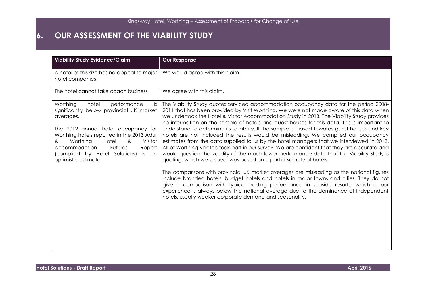| <b>Viability Study Evidence/Claim</b>                                                                                                                                                                                                                                                                                                 | <b>Our Response</b>                                                                                                                                                                                                                                                                                                                                                                                                                                                                                                                                                                                                                                                                                                                                                                                                                                                                                                                                                                                                                                                                                                                                                                                                                                                                                                                                                      |
|---------------------------------------------------------------------------------------------------------------------------------------------------------------------------------------------------------------------------------------------------------------------------------------------------------------------------------------|--------------------------------------------------------------------------------------------------------------------------------------------------------------------------------------------------------------------------------------------------------------------------------------------------------------------------------------------------------------------------------------------------------------------------------------------------------------------------------------------------------------------------------------------------------------------------------------------------------------------------------------------------------------------------------------------------------------------------------------------------------------------------------------------------------------------------------------------------------------------------------------------------------------------------------------------------------------------------------------------------------------------------------------------------------------------------------------------------------------------------------------------------------------------------------------------------------------------------------------------------------------------------------------------------------------------------------------------------------------------------|
| A hotel of this size has no appeal to major<br>hotel companies                                                                                                                                                                                                                                                                        | We would agree with this claim.                                                                                                                                                                                                                                                                                                                                                                                                                                                                                                                                                                                                                                                                                                                                                                                                                                                                                                                                                                                                                                                                                                                                                                                                                                                                                                                                          |
| The hotel cannot take coach business                                                                                                                                                                                                                                                                                                  | We agree with this claim.                                                                                                                                                                                                                                                                                                                                                                                                                                                                                                                                                                                                                                                                                                                                                                                                                                                                                                                                                                                                                                                                                                                                                                                                                                                                                                                                                |
| Worthing<br>hotel<br>performance<br>is.<br>significantly below provincial UK market<br>averages.<br>The 2012 annual hotel occupancy for<br>Worthing hotels reported in the 2013 Adur<br>Worthing<br>Hotel<br>&<br>Visitor<br>&<br>Accommodation<br>Futures<br>Report<br>(complied by Hotel Solutions)<br>is an<br>optimistic estimate | The Viability Study quotes serviced accommodation occupancy data for the period 2008-<br>2011 that has been provided by Visit Worthing. We were not made aware of this data when<br>we undertook the Hotel & Visitor Accommodation Study in 2013. The Viability Study provides<br>no information on the sample of hotels and guest houses for this data. This is important to<br>understand to determine its reliability. If the sample is biased towards guest houses and key<br>hotels are not included the results would be misleading. We compiled our occupancy<br>estimates from the data supplied to us by the hotel managers that we interviewed in 2013.<br>All of Worthing's hotels took part in our survey. We are confident that they are accurate and<br>would question the validity of the much lower performance data that the Viability Study is<br>quoting, which we suspect was based on a partial sample of hotels.<br>The comparisons with provincial UK market averages are misleading as the national figures<br>include branded hotels, budget hotels and hotels in major towns and cities. They do not<br>give a comparison with typical trading performance in seaside resorts, which in our<br>experience is always below the national average due to the dominance of independent<br>hotels, usually weaker corporate demand and seasonality. |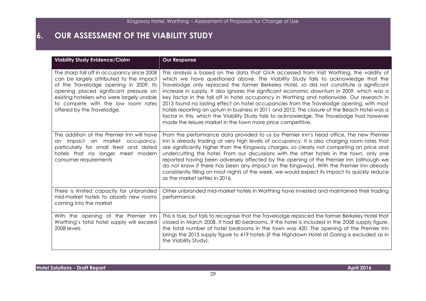| <b>Viability Study Evidence/Claim</b>                                                                                                                                                                                                                                                       | <b>Our Response</b>                                                                                                                                                                                                                                                                                                                                                                                                                                                                                                                                                                                                                                                                                                                                                                                                            |
|---------------------------------------------------------------------------------------------------------------------------------------------------------------------------------------------------------------------------------------------------------------------------------------------|--------------------------------------------------------------------------------------------------------------------------------------------------------------------------------------------------------------------------------------------------------------------------------------------------------------------------------------------------------------------------------------------------------------------------------------------------------------------------------------------------------------------------------------------------------------------------------------------------------------------------------------------------------------------------------------------------------------------------------------------------------------------------------------------------------------------------------|
| The sharp fall off in occupancy since 2008<br>can be largely attributed to the impact<br>of the Travelodge opening in 2009. Its<br>opening placed significant pressure on<br>existing hoteliers who were largely unable<br>to compete with the low room rates<br>offered by the Travelodge. | This analysis is based on the data that GVA accessed from Visit Worthing, the validity of<br>which we have questioned above. The Viability Study fails to acknowledge that the<br>Travelodge only replaced the former Berkeley Hotel, so did not constitute a significant<br>increase in supply. It also ignores the significant economic downturn in 2009, which was a<br>key factor in the fall off in hotel occupancy in Worthing and nationwide. Our research in<br>2013 found no lasting effect on hotel occupancies from the Travelodge opening, with most<br>hotels reporting an upturn in business in 2011 and 2012. The closure of the Beach Hotel was a<br>factor in this, which the Viability Study fails to acknowledge. The Travelodge had however<br>made the leisure market in the town more price competitive. |
| The addition of the Premier Inn will have<br>impact on market occupancy,<br>an<br>particularly for small tired and dated<br>hotels that no longer meet modern<br>consumer requirements                                                                                                      | From the performance data provided to us by Premier Inn's head office, the new Premier<br>Inn is already trading at very high levels of occupancy. It is also charging room rates that<br>are significantly higher than the Kingsway charges, so clearly not competing on price and<br>undercutting the hotel. From our discussions with the other hotels in the town, only one<br>reported having been adversely affected by the opening of the Premier Inn (although we<br>do not know if there has been any impact on the Kingsway). With the Premier Inn already<br>consistently filling on most nights of the week, we would expect its impact to quickly reduce<br>as the market settles in 2016.                                                                                                                        |
| There is limited capacity for unbranded<br>mid-market hotels to absorb new rooms<br>coming into the market                                                                                                                                                                                  | Other unbranded mid-market hotels in Worthing have invested and maintained their trading<br>performance.                                                                                                                                                                                                                                                                                                                                                                                                                                                                                                                                                                                                                                                                                                                       |
| With the opening of the Premier Inn<br>Worthing's total hotel supply will exceed<br>2008 levels                                                                                                                                                                                             | This is true, but fails to recognise that the Travelodge replaced the former Berkeley Hotel that<br>closed in March 2008. It had 80 bedrooms. If this hotel is included in the 2008 supply figure,<br>the total number of hotel bedrooms in the town was 420. The opening of the Premier Inn<br>brings the 2015 supply figure to 419 hotels (if the Highdown Hotel at Goring is excluded as in<br>the Viability Study).                                                                                                                                                                                                                                                                                                                                                                                                        |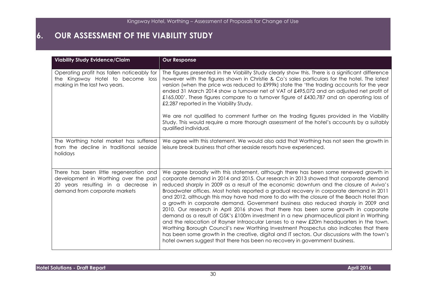| <b>Viability Study Evidence/Claim</b>                                                                                                                   | <b>Our Response</b>                                                                                                                                                                                                                                                                                                                                                                                                                                                                                                                                                                                                                                                                                                                                                                                                                                                                                                                                                                                                                                                                                          |
|---------------------------------------------------------------------------------------------------------------------------------------------------------|--------------------------------------------------------------------------------------------------------------------------------------------------------------------------------------------------------------------------------------------------------------------------------------------------------------------------------------------------------------------------------------------------------------------------------------------------------------------------------------------------------------------------------------------------------------------------------------------------------------------------------------------------------------------------------------------------------------------------------------------------------------------------------------------------------------------------------------------------------------------------------------------------------------------------------------------------------------------------------------------------------------------------------------------------------------------------------------------------------------|
| Operating profit has fallen noticeably for<br>the Kingsway Hotel to become loss<br>making in the last two years.                                        | The figures presented in the Viability Study clearly show this. There is a significant difference<br>however with the figures shown in Christie & Co's sales particulars for the hotel. The latest<br>version (when the price was reduced to £999k) state the 'the trading accounts for the year<br>ended 31 March 2014 show a turnover net of VAT of £495,072 and an adjusted net profit of<br>£165,000'. These figures compare to a turnover figure of £430,787 and an operating loss of<br>£2,287 reported in the Viability Study.<br>We are not qualified to comment further on the trading figures provided in the Viability<br>Study. This would require a more thorough assessment of the hotel's accounts by a suitably                                                                                                                                                                                                                                                                                                                                                                              |
|                                                                                                                                                         | qualified individual.                                                                                                                                                                                                                                                                                                                                                                                                                                                                                                                                                                                                                                                                                                                                                                                                                                                                                                                                                                                                                                                                                        |
| The Worthing hotel market has suffered<br>from the decline in traditional seaside<br>holidays                                                           | We agree with this statement. We would also add that Worthing has not seen the growth in<br>leisure break business that other seaside resorts have experienced.                                                                                                                                                                                                                                                                                                                                                                                                                                                                                                                                                                                                                                                                                                                                                                                                                                                                                                                                              |
| There has been little regeneration and<br>development in Worthing over the past<br>20 years resulting in a decrease in<br>demand from corporate markets | We agree broadly with this statement, although there has been some renewed growth in<br>corporate demand in 2014 and 2015. Our research in 2013 showed that corporate demand<br>reduced sharply in 2009 as a result of the economic downturn and the closure of Aviva's<br>Broadwater offices. Most hotels reported a gradual recovery in corporate demand in 2011<br>and 2012, although this may have had more to do with the closure of the Beach Hotel than<br>a growth in corporate demand. Government business also reduced sharply in 2009 and<br>2010. Our research in April 2016 shows that there has been some growth in corporate<br>demand as a result of GSK's £100m investment in a new pharmaceutical plant in Worthing<br>and the relocation of Rayner Intraocular Lenses to a new £20m headquarters in the town.<br>Worthing Borough Council's new Worthing Investment Prospectus also indicates that there<br>has been some growth in the creative, digital and IT sectors. Our discussions with the town's<br>hotel owners suggest that there has been no recovery in government business. |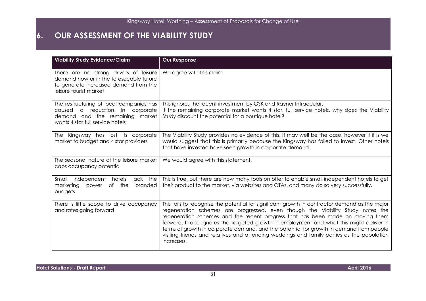| <b>Viability Study Evidence/Claim</b>                                                                                                                       | <b>Our Response</b>                                                                                                                                                                                                                                                                                                                                                                                                                                                                                                                                                    |  |  |  |  |
|-------------------------------------------------------------------------------------------------------------------------------------------------------------|------------------------------------------------------------------------------------------------------------------------------------------------------------------------------------------------------------------------------------------------------------------------------------------------------------------------------------------------------------------------------------------------------------------------------------------------------------------------------------------------------------------------------------------------------------------------|--|--|--|--|
| There are no strong drivers of leisure<br>demand now or in the foreseeable future<br>to generate increased demand from the<br>leisure tourist market        | We agree with this claim.                                                                                                                                                                                                                                                                                                                                                                                                                                                                                                                                              |  |  |  |  |
| The restructuring of local companies has<br>a reduction<br>caused<br>in<br>corporate<br>demand and the remaining market<br>wants 4 star full service hotels | This ignores the recent investment by GSK and Rayner Intraocular.<br>If the remaining corporate market wants 4 star, full service hotels, why does the Viability<br>Study discount the potential for a boutique hotel?                                                                                                                                                                                                                                                                                                                                                 |  |  |  |  |
| The Kingsway has lost its corporate<br>market to budget and 4 star providers                                                                                | The Viability Study provides no evidence of this. It may well be the case, however if it is we<br>would suggest that this is primarily because the Kingsway has failed to invest. Other hotels<br>that have invested have seen growth in corporate demand.                                                                                                                                                                                                                                                                                                             |  |  |  |  |
| The seasonal nature of the leisure market<br>caps occupancy potential                                                                                       | We would agree with this statement.                                                                                                                                                                                                                                                                                                                                                                                                                                                                                                                                    |  |  |  |  |
| hotels<br>lack the<br>Small<br>independent<br>marketing<br>of<br>the<br>branded<br>power<br>budgets                                                         | This is true, but there are now many tools on offer to enable small independent hotels to get<br>their product to the market, via websites and OTAs, and many do so very successfully.                                                                                                                                                                                                                                                                                                                                                                                 |  |  |  |  |
| There is little scope to drive occupancy<br>and rates going forward                                                                                         | This fails to recognise the potential for significant growth in contractor demand as the major<br>regeneration schemes are progressed, even though the Viability Study notes the<br>regeneration schemes and the recent progress that has been made on moving them<br>forward. It also ignores the targeted growth in employment and what this might deliver in<br>terms of growth in corporate demand, and the potential for growth in demand from people<br>visiting friends and relatives and attending weddings and family parties as the population<br>increases. |  |  |  |  |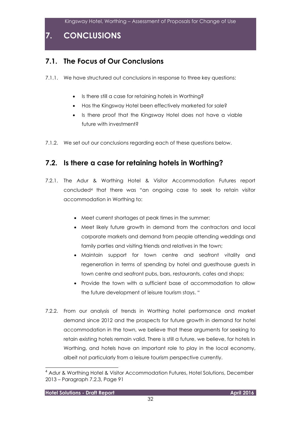**7. CONCLUSIONS**

# **7.1. The Focus of Our Conclusions**

- 7.1.1. We have structured out conclusions in response to three key questions:
	- Is there still a case for retaining hotels in Worthing?
	- Has the Kingsway Hotel been effectively marketed for sale?
	- Is there proof that the Kingsway Hotel does not have a viable future with investment?
- 7.1.2. We set out our conclusions regarding each of these questions below.

### **7.2. Is there a case for retaining hotels in Worthing?**

- 7.2.1. The Adur & Worthing Hotel & Visitor Accommodation Futures report concluded<sup>4</sup> that there was "an ongoing case to seek to retain visitor accommodation in Worthing to:
	- Meet current shortages at peak times in the summer;
	- Meet likely future growth in demand from the contractors and local corporate markets and demand from people attending weddings and family parties and visiting friends and relatives in the town;
	- Maintain support for town centre and seafront vitality and regeneration in terms of spending by hotel and guesthouse guests in town centre and seafront pubs, bars, restaurants, cafes and shops;
	- Provide the town with a sufficient base of accommodation to allow the future development of leisure tourism stays. "
- 7.2.2. From our analysis of trends in Worthing hotel performance and market demand since 2012 and the prospects for future growth in demand for hotel accommodation in the town, we believe that these arguments for seeking to retain existing hotels remain valid. There is still a future, we believe, for hotels in Worthing, and hotels have an important role to play in the local economy, albeit not particularly from a leisure tourism perspective currently.

l

<sup>4</sup> Adur & Worthing Hotel & Visitor Accommodation Futures, Hotel Solutions, December 2013 – Paragraph 7.2.3, Page 91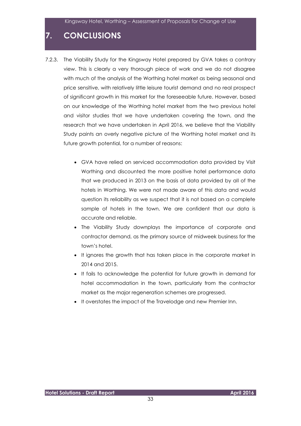# **7. CONCLUSIONS**

- 7.2.3. The Viability Study for the Kingsway Hotel prepared by GVA takes a contrary view. This is clearly a very thorough piece of work and we do not disagree with much of the analysis of the Worthing hotel market as being seasonal and price sensitive, with relatively little leisure tourist demand and no real prospect of significant growth in this market for the foreseeable future. However, based on our knowledge of the Worthing hotel market from the two previous hotel and visitor studies that we have undertaken covering the town, and the research that we have undertaken in April 2016, we believe that the Viability Study paints an overly negative picture of the Worthing hotel market and its future growth potential, for a number of reasons:
	- GVA have relied on serviced accommodation data provided by Visit Worthing and discounted the more positive hotel performance data that we produced in 2013 on the basis of data provided by all of the hotels in Worthing. We were not made aware of this data and would question its reliability as we suspect that it is not based on a complete sample of hotels in the town. We are confident that our data is accurate and reliable.
	- The Viability Study downplays the importance of corporate and contractor demand, as the primary source of midweek business for the town's hotel.
	- It ignores the growth that has taken place in the corporate market in 2014 and 2015.
	- It fails to acknowledge the potential for future growth in demand for hotel accommodation in the town, particularly from the contractor market as the major regeneration schemes are progressed.
	- It overstates the impact of the Travelodge and new Premier Inn.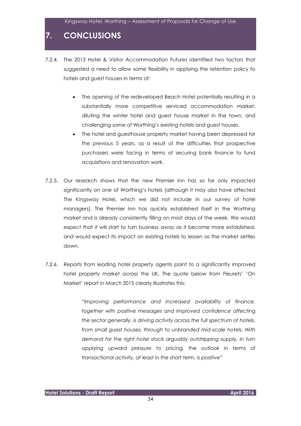# **7. CONCLUSIONS**

- 7.2.4. The 2013 Hotel & Visitor Accommodation Futures identified two factors that suggested a need to allow some flexibility in applying the retention policy to hotels and guest houses in terms of:
	- The opening of the redeveloped Beach Hotel potentially resulting in a substantially more competitive serviced accommodation market, diluting the winter hotel and guest house market in the town, and challenging some of Worthing's existing hotels and guest houses.
	- The hotel and guesthouse property market having been depressed for the previous 5 years, as a result of the difficulties that prospective purchasers were facing in terms of securing bank finance to fund acquisitions and renovation work.
- 7.2.5. Our research shows that the new Premier Inn has so far only impacted significantly on one of Worthing's hotels (although it may also have affected The Kingsway Hotel, which we did not include in our survey of hotel managers). The Premier Inn has quickly established itself in the Worthing market and is already consistently filling on most days of the week. We would expect that it will start to turn business away as it become more established, and would expect its impact on existing hotels to lessen as the market settles down.
- 7.2.6. Reports from leading hotel property agents point to a significantly improved hotel property market across the UK. The quote below from Fleurets' 'On Market' report in March 2015 clearly illustrates this:

*"Improving performance and increased availability of finance, together with positive messages and improved confidence affecting the sector generally, is driving activity across the full spectrum of hotels, from small guest houses, through to unbranded mid-scale hotels. With demand for the right hotel stock arguably outstripping supply, in turn applying upward pressure to pricing, the outlook in terms of transactional activity, at least in the short term, is positive"*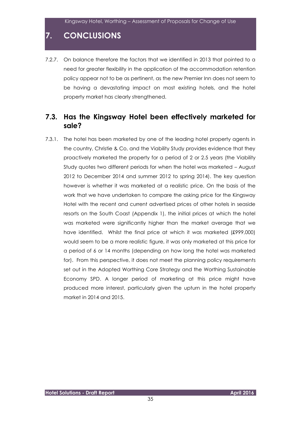# **7. CONCLUSIONS**

7.2.7. On balance therefore the factors that we identified in 2013 that pointed to a need for greater flexibility in the application of the accommodation retention policy appear not to be as pertinent, as the new Premier Inn does not seem to be having a devastating impact on most existing hotels, and the hotel property market has clearly strengthened.

#### **7.3. Has the Kingsway Hotel been effectively marketed for sale?**

7.3.1. The hotel has been marketed by one of the leading hotel property agents in the country, Christie & Co, and the Viability Study provides evidence that they proactively marketed the property for a period of 2 or 2.5 years (the Viability Study quotes two different periods for when the hotel was marketed – August 2012 to December 2014 and summer 2012 to spring 2014). The key question however is whether it was marketed at a realistic price. On the basis of the work that we have undertaken to compare the asking price for the Kingsway Hotel with the recent and current advertised prices of other hotels in seaside resorts on the South Coast (Appendix 1), the initial prices at which the hotel was marketed were significantly higher than the market average that we have identified. Whilst the final price at which it was marketed (£999,000) would seem to be a more realistic figure, it was only marketed at this price for a period of 6 or 14 months (depending on how long the hotel was marketed for). From this perspective, it does not meet the planning policy requirements set out in the Adopted Worthing Core Strategy and the Worthing Sustainable Economy SPD. A longer period of marketing at this price might have produced more interest, particularly given the upturn in the hotel property market in 2014 and 2015.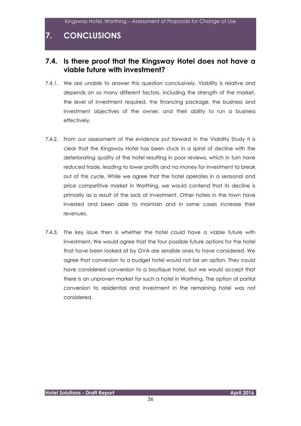### **7. CONCLUSIONS**

#### **7.4. Is there proof that the Kingsway Hotel does not have a viable future with investment?**

- 7.4.1. We are unable to answer this question conclusively. Viability is relative and depends on so many different factors, including the strength of the market, the level of investment required, the financing package, the business and investment objectives of the owner, and their ability to run a business effectively.
- 7.4.2. From our assessment of the evidence put forward in the Viability Study it is clear that the Kingsway Hotel has been stuck in a spiral of decline with the deteriorating quality of the hotel resulting in poor reviews, which in turn have reduced trade, leading to lower profits and no money for investment to break out of this cycle. While we agree that the hotel operates in a seasonal and price competitive market in Worthing, we would contend that its decline is primarily as a result of the lack of investment. Other hotels in the town have invested and been able to maintain and in some cases increase their revenues.
- 7.4.3. The key issue then is whether the hotel could have a viable future with investment. We would agree that the four possible future options for the hotel that have been looked at by GVA are sensible ones to have considered. We agree that conversion to a budget hotel would not be an option. They could have considered conversion to a boutique hotel, but we would accept that there is an unproven market for such a hotel in Worthing. The option of partial conversion to residential and investment in the remaining hotel was not considered.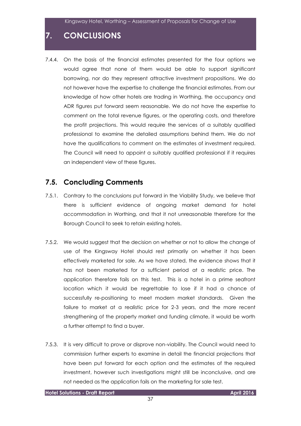# **7. CONCLUSIONS**

7.4.4. On the basis of the financial estimates presented for the four options we would agree that none of them would be able to support significant borrowing, nor do they represent attractive investment propositions. We do not however have the expertise to challenge the financial estimates. From our knowledge of how other hotels are trading in Worthing, the occupancy and ADR figures put forward seem reasonable. We do not have the expertise to comment on the total revenue figures, or the operating costs, and therefore the profit projections. This would require the services of a suitably qualified professional to examine the detailed assumptions behind them. We do not have the qualifications to comment on the estimates of investment required. The Council will need to appoint a suitably qualified professional if it requires an independent view of these figures.

#### **7.5. Concluding Comments**

- 7.5.1. Contrary to the conclusions put forward in the Viability Study, we believe that there is sufficient evidence of ongoing market demand for hotel accommodation in Worthing, and that it not unreasonable therefore for the Borough Council to seek to retain existing hotels.
- 7.5.2. We would suggest that the decision on whether or not to allow the change of use of the Kingsway Hotel should rest primarily on whether it has been effectively marketed for sale. As we have stated, the evidence shows that it has not been marketed for a sufficient period at a realistic price. The application therefore fails on this test. This is a hotel in a prime seafront location which it would be regrettable to lose if it had a chance of successfully re-positioning to meet modern market standards. Given the failure to market at a realistic price for 2-3 years, and the more recent strengthening of the property market and funding climate, it would be worth a further attempt to find a buyer.
- 7.5.3. It is very difficult to prove or disprove non-viability. The Council would need to commission further experts to examine in detail the financial projections that have been put forward for each option and the estimates of the required investment, however such investigations might still be inconclusive, and are not needed as the application fails on the marketing for sale test.